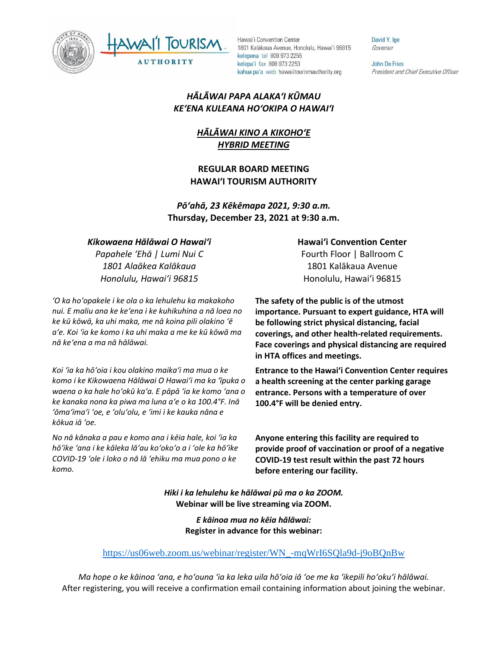



David Y. Ige Governor

**John De Fries** President and Chief Executive Officer

### *HĀLĀWAI PAPA ALAKAʻI KŪMAU KEʻENA KULEANA HOʻOKIPA O HAWAIʻI*

# *HĀLĀWAI KINO A KIKOHOʻE HYBRID MEETING*

### **REGULAR BOARD MEETING HAWAI'I TOURISM AUTHORITY**

*Pōʻahā, 23 Kēkēmapa 2021, 9:30 a.m.* **Thursday, December 23, 2021 at 9:30 a.m.**

### *Kikowaena Hālāwai O Hawaiʻi*

*Papahele ʻEhā | Lumi Nui C 1801 Alaākea Kalākaua Honolulu, Hawaiʻi 96815*

*ʻO ka hoʻopakele i ke ola o ka lehulehu ka makakoho nui. E maliu ana ke keʻena i ke kuhikuhina a nā loea no ke kū kōwā, ka uhi maka, me nā koina pili olakino ʻē aʻe. Koi ʻia ke komo i ka uhi maka a me ke kū kōwā ma nā keʻena a ma nā hālāwai.*

*Koi ʻia ka hōʻoia i kou olakino maikaʻi ma mua o ke komo i ke Kikowaena Hālāwai O Hawaiʻi ma ka ʻīpuka o waena o ka hale hoʻokū kaʻa. E pāpā ʻia ke komo ʻana o ke kanaka nona ka piwa ma luna aʻe o ka 100.4°F. Inā ʻōmaʻimaʻi ʻoe, e ʻoluʻolu, e ʻimi i ke kauka nāna e kōkua iā ʻoe.* 

*No nā kānaka a pau e komo ana i kēia hale, koi ʻia ka hōʻike ʻana i ke kāleka lāʻau koʻokoʻo a i ʻole ka hōʻike COVID-19 ʻole i loko o nā lā ʻehiku ma mua pono o ke komo.*

#### **Hawaiʻi Convention Center**

Fourth Floor | Ballroom C 1801 Kalākaua Avenue Honolulu, Hawaiʻi 96815

**The safety of the public is of the utmost importance. Pursuant to expert guidance, HTA will be following strict physical distancing, facial coverings, and other health-related requirements. Face coverings and physical distancing are required in HTA offices and meetings.** 

**Entrance to the Hawaiʻi Convention Center requires a health screening at the center parking garage entrance. Persons with a temperature of over 100.4°F will be denied entry.** 

**Anyone entering this facility are required to provide proof of vaccination or proof of a negative COVID-19 test result within the past 72 hours before entering our facility.**

*Hiki i ka lehulehu ke hālāwai pū ma o ka ZOOM.* **Webinar will be live streaming via ZOOM.**

> *E kāinoa mua no kēia hālāwai:* **Register in advance for this webinar:**

#### [https://us06web.zoom.us/webinar/register/WN\\_-mqWrI6SQla9d-j9oBQnBw](https://us06web.zoom.us/webinar/register/WN_-mqWrI6SQla9d-j9oBQnBw)

*Ma hope o ke kāinoa ʻana, e hoʻouna ʻia ka leka uila hōʻoia iā ʻoe me ka ʻikepili hoʻokuʻi hālāwai.* After registering, you will receive a confirmation email containing information about joining the webinar.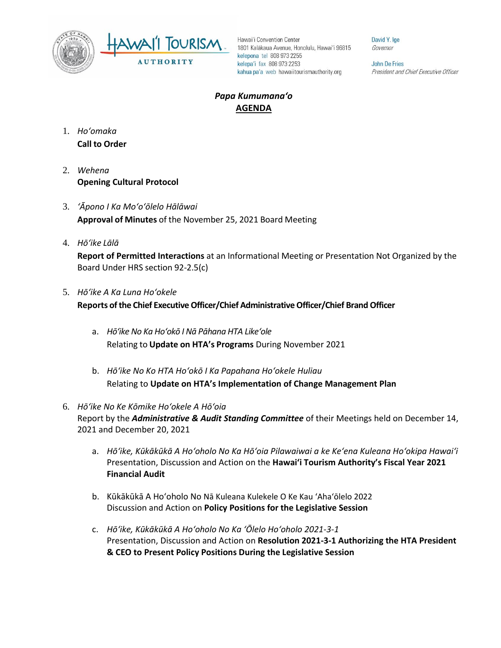



David Y. Ige Governor

John De Fries President and Chief Executive Officer

## *Papa Kumumanaʻo* **AGENDA**

- 1. *Ho'omaka* **Call to Order**
- 2. *Wehena* **Opening Cultural Protocol**
- 3. *ʻĀpono I Ka Moʻoʻōlelo Hālāwai* **Approval of Minutes** of the November 25, 2021 Board Meeting
- 4. *Hō'ike Lālā*

**Report of Permitted Interactions** at an Informational Meeting or Presentation Not Organized by the Board Under HRS section 92-2.5(c)

- 5. *Hōʻike A Ka Luna Hoʻokele* **Reports of the Chief Executive Officer/Chief Administrative Officer/Chief Brand Officer**
	- a. *Hōʻike No Ka Hoʻokō I Nā Pāhana HTA Likeʻole* Relating to **Update on HTA's Programs** During November 2021
	- b. *Hōʻike No Ko HTA Hoʻokō I Ka Papahana Hoʻokele Huliau* Relating to **Update on HTA's Implementation of Change Management Plan**
- 6. *Hōʻike No Ke Kōmike Hoʻokele A Hōʻoia* Report by the *Administrative & Audit Standing Committee* of their Meetings held on December 14, 2021 and December 20, 2021
	- a. *Hōʻike, Kūkākūkā A Hoʻoholo No Ka Hōʻoia Pilawaiwai a ke Keʻena Kuleana Hoʻokipa Hawaiʻi*  Presentation, Discussion and Action on the **Hawai'i Tourism Authority's Fiscal Year 2021 Financial Audit**
	- b. Kūkākūkā A Hoʻoholo No Nā Kuleana Kulekele O Ke Kau ʻAhaʻōlelo 2022 Discussion and Action on **Policy Positions for the Legislative Session**
	- c. *Hōʻike, Kūkākūkā A Hoʻoholo No Ka ʻŌlelo Hoʻoholo 2021-3-1* Presentation, Discussion and Action on **Resolution 2021-3-1 Authorizing the HTA President & CEO to Present Policy Positions During the Legislative Session**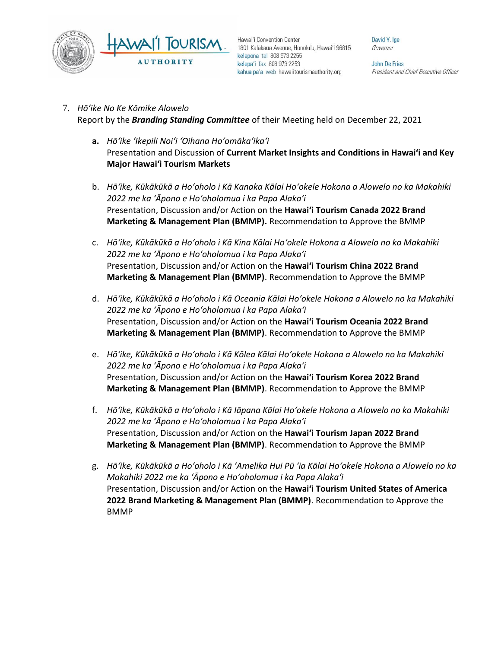

David Y. Ige Governor

John De Fries President and Chief Executive Officer

#### 7. *Hōʻike No Ke Kōmike Alowelo*

Report by the *Branding Standing Committee* of their Meeting held on December 22, 2021

- **a.** *Hōʻike ʻIkepili Noiʻi ʻOihana Hoʻomākaʻikaʻi* Presentation and Discussion of **Current Market Insights and Conditions in Hawai'i and Key Major Hawai'i Tourism Markets**
- b. *Hōʻike, Kūkākūkā a Hoʻoholo i Kā Kanaka Kālai Hoʻokele Hokona a Alowelo no ka Makahiki 2022 me ka ʻĀpono e Hoʻoholomua i ka Papa Alakaʻi* Presentation, Discussion and/or Action on the **Hawai'i Tourism Canada 2022 Brand Marketing & Management Plan (BMMP).** Recommendation to Approve the BMMP
- c. *Hōʻike, Kūkākūkā a Hoʻoholo i Kā Kina Kālai Hoʻokele Hokona a Alowelo no ka Makahiki 2022 me ka ʻĀpono e Hoʻoholomua i ka Papa Alakaʻi* Presentation, Discussion and/or Action on the **Hawai'i Tourism China 2022 Brand Marketing & Management Plan (BMMP)**. Recommendation to Approve the BMMP
- d. *Hōʻike, Kūkākūkā a Hoʻoholo i Kā Oceania Kālai Hoʻokele Hokona a Alowelo no ka Makahiki 2022 me ka ʻĀpono e Hoʻoholomua i ka Papa Alakaʻi* Presentation, Discussion and/or Action on the **Hawai'i Tourism Oceania 2022 Brand Marketing & Management Plan (BMMP)**. Recommendation to Approve the BMMP
- e. *Hōʻike, Kūkākūkā a Hoʻoholo i Kā Kōlea Kālai Hoʻokele Hokona a Alowelo no ka Makahiki 2022 me ka ʻĀpono e Hoʻoholomua i ka Papa Alakaʻi* Presentation, Discussion and/or Action on the **Hawai'i Tourism Korea 2022 Brand Marketing & Management Plan (BMMP)**. Recommendation to Approve the BMMP
- f. *Hōʻike, Kūkākūkā a Hoʻoholo i Kā Iāpana Kālai Hoʻokele Hokona a Alowelo no ka Makahiki 2022 me ka ʻĀpono e Hoʻoholomua i ka Papa Alakaʻi* Presentation, Discussion and/or Action on the **Hawai'i Tourism Japan 2022 Brand Marketing & Management Plan (BMMP)**. Recommendation to Approve the BMMP
- g. *Hōʻike, Kūkākūkā a Hoʻoholo i Kā ʻAmelika Hui Pū ʻia Kālai Hoʻokele Hokona a Alowelo no ka Makahiki 2022 me ka ʻĀpono e Hoʻoholomua i ka Papa Alakaʻi* Presentation, Discussion and/or Action on the **Hawai'i Tourism United States of America 2022 Brand Marketing & Management Plan (BMMP)**. Recommendation to Approve the BMMP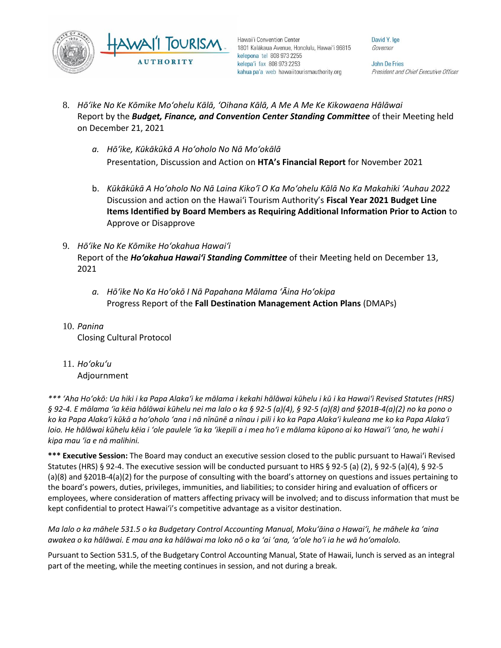

David Y. Ige Governor

John De Fries President and Chief Executive Officer

- 8. *Hōʻike No Ke Kōmike Moʻohelu Kālā, ʻOihana Kālā, A Me A Me Ke Kikowaena Hālāwai* Report by the *Budget, Finance, and Convention Center Standing Committee* of their Meeting held on December 21, 2021
	- *a. Hōʻike, Kūkākūkā A Hoʻoholo No Nā Moʻokālā*  Presentation, Discussion and Action on **HTA's Financial Report** for November 2021
	- b. *Kūkākūkā A Hoʻoholo No Nā Laina Kikoʻī O Ka Moʻohelu Kālā No Ka Makahiki ʻAuhau 2022* Discussion and action on the Hawai'i Tourism Authority's **Fiscal Year 2021 Budget Line Items Identified by Board Members as Requiring Additional Information Prior to Action** to Approve or Disapprove
- 9. *Hōʻike No Ke Kōmike Hoʻokahua Hawaiʻi* Report of the *Hoʻokahua Hawaiʻi Standing Committee* of their Meeting held on December 13, 2021
	- *a. Hōʻike No Ka Hoʻokō I Nā Papahana Mālama ʻĀina Hoʻokipa* Progress Report of the **Fall Destination Management Action Plans** (DMAPs)
- 10. *Panina* Closing Cultural Protocol
- 11. *Ho'oku'u*
	- Adjournment

*\*\*\* ʻAha Hoʻokō: Ua hiki i ka Papa Alakaʻi ke mālama i kekahi hālāwai kūhelu i kū i ka Hawaiʻi Revised Statutes (HRS) § 92-4. E mālama ʻia kēia hālāwai kūhelu nei ma lalo o ka § 92-5 (a)(4), § 92-5 (a)(8) and §201B-4(a)(2) no ka pono o ko ka Papa Alakaʻi kūkā a hoʻoholo ʻana i nā nīnūnē a nīnau i pili i ko ka Papa Alakaʻi kuleana me ko ka Papa Alakaʻi loio. He hālāwai kūhelu kēia i ʻole paulele ʻia ka ʻikepili a i mea hoʻi e mālama kūpono ai ko Hawaiʻi ʻano, he wahi i kipa mau ʻia e nā malihini.*

**\*\*\* Executive Session:** The Board may conduct an executive session closed to the public pursuant to Hawai'i Revised Statutes (HRS) § 92-4. The executive session will be conducted pursuant to HRS § 92-5 (a) (2), § 92-5 (a)(4), § 92-5 (a)(8) and §201B-4(a)(2) for the purpose of consulting with the board's attorney on questions and issues pertaining to the board's powers, duties, privileges, immunities, and liabilities; to consider hiring and evaluation of officers or employees, where consideration of matters affecting privacy will be involved; and to discuss information that must be kept confidential to protect Hawai'i's competitive advantage as a visitor destination.

*Ma lalo o ka māhele 531.5 o ka Budgetary Control Accounting Manual, Mokuʻāina o Hawaiʻi, he māhele ka ʻaina awakea o ka hālāwai. E mau ana ka hālāwai ma loko nō o ka ʻai ʻana, ʻaʻole hoʻi ia he wā hoʻomalolo.*

Pursuant to Section 531.5, of the Budgetary Control Accounting Manual, State of Hawaii, lunch is served as an integral part of the meeting, while the meeting continues in session, and not during a break.